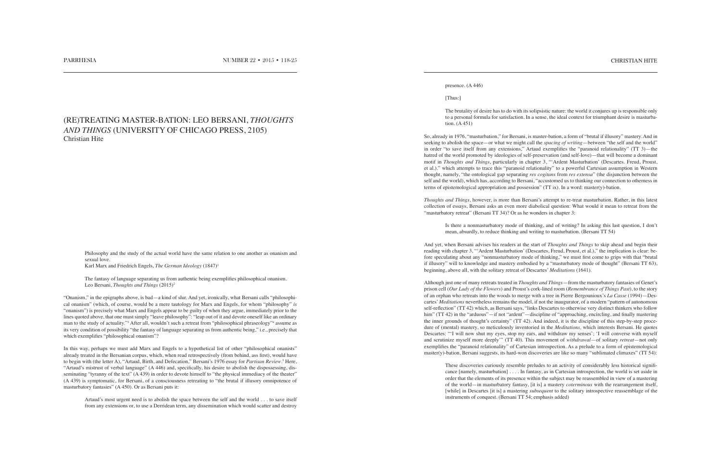Philosophy and the study of the actual world have the same relation to one another as onanism and sexual love. Karl Marx and Friedrich Engels, *The German Ideology* (1847)<sup>1</sup>

The fantasy of language separating us from authentic being exemplifies philosophical onanism. Leo Bersani, *Thoughts and Things* (2015)<sup>2</sup>

"Onanism," in the epigraphs above, is bad—a kind of slur. And yet, ironically, what Bersani calls "philosophical onanism" (which, of course, would be a mere tautology for Marx and Engels, for whom "philosophy" *is* "onanism") is precisely what Marx and Engels appear to be guilty of when they argue, immediately prior to the lines quoted above, that one must simply "leave philosophy": "leap out of it and devote oneself like an ordinary man to the study of actuality."<sup>3</sup> After all, wouldn't such a retreat from "philosophical phraseology"<sup>4</sup> assume as its very condition of possibility "the fantasy of language separating us from authentic being," i.e., precisely that which exemplifies "philosophical onanism"?

In this way, perhaps we must add Marx and Engels to a hypothetical list of other "philosophical onanists" already treated in the Bersanian corpus, which, when read retrospectively (from behind, ass first), would have to begin with (the letter A), "Artaud, Birth, and Defecation," Bersani's 1976 essay for *Partisan Review*.<sup>5</sup> Here, "Artaud's mistrust of verbal language" (A 446) and, specifically, his desire to abolish the dispossessing, disseminating "tyranny of the text" (A 439) in order to devote himself to "the physical immediacy of the theater" (A 439) is symptomatic, for Bersani, of a consciousness retreating to "the brutal if illusory omnipotence of masturbatory fantasies" (A 450). Or as Bersani puts it:

Artaud's most urgent need is to abolish the space between the self and the world . . . to save itself from any extensions or, to use a Derridean term, any dissemination which would scatter and destroy

## (RE)TREATING MASTER-BATION: LEO BERSANI, *THOUGHTS AND THINGS* (UNIVERSITY OF CHICAGO PRESS, 2105) Christian Hite

## presence. (A 446)

[Thus:]

The brutality of desire has to do with its solipsistic nature: the world it conjures up is responsible only to a personal formula for satisfaction. In a sense, the ideal context for triumphant desire is masturbation. (A 451)

So, already in 1976, "masturbation," for Bersani, is master-bation, a form of "brutal if illusory" mastery. And in seeking to abolish the space—or what we might call the *spacing of writing*—between "the self and the world" in order "to save itself from any extensions," Artaud exemplifies the "paranoid relationality" (TT 3)—the hatred of the world promoted by ideologies of self-preservation (and self-love)—that will become a dominant motif in *Thoughts and Things*, particularly in chapter 3, "'Ardent Masturbation' (Descartes. Freud, Proust, et al.)." which attempts to trace this "paranoid relationality" to a powerful Cartesian assumption in Western thought, namely, "the ontological gap separating *res cogitans* from *res extensa*" (the disjunction between the self and the world), which has, according to Bersani, "accustomed us to thinking our connection to otherness in terms of epistemological appropriation and possession" (TT ix). In a word: master(y)-bation.

*Thoughts and Things*, however, is more than Bersani's attempt to re-treat masturbation. Rather, in this latest collection of essays, Bersani asks an even more diabolical question: What would it mean to retreat from the "masturbatory retreat" (Bersani TT 34)? Or as he wonders in chapter 3:

Is there a nonmasturbatory mode of thinking, and of writing? In asking this last question, I don't mean, absurdly, to reduce thinking and writing to masturbation. (Bersani TT 54)

And yet, when Bersani advises his readers at the start of *Thoughts and Things* to skip ahead and begin their reading with chapter 3, "'Ardent Masturbation' (Descartes, Freud, Proust, et al.)," the implication is clear: before speculating about any "nonmasturbatory mode of thinking," we must first come to grips with that "brutal if illusory" will to knowledge and mastery embodied by a "masturbatory mode of thought" (Bersani TT 63), beginning, above all, with the solitary retreat of Descartes' *Meditations* (1641).

Although just one of many retreats treated in *Thoughts and Things*—from the masturbatory fantasies of Genet's prison cell (*Our Lady of the Flowers*) and Proust's cork-lined room (*Remembrance of Things Past*), to the story of an orphan who retreats into the woods to merge with a tree in Pierre Bergounioux's *La Casse* (1994)—Descartes' *Meditations* nevertheless remains the model, if not the inaugurator, of a modern "pattern of autonomous self-reflection" (TT 42) which, as Bersani says, "links Descartes to otherwise very distinct thinkers who follow him" (TT 42) in the "arduous"—if not "ardent"—discipline of "approaching, encircling, and finally mastering the inner grounds of thought's certainty" (TT 42). And indeed, it is the discipline of this step-by-step procedure of (mental) mastery, so meticulously inventoried in the *Meditations,* which interests Bersani. He quotes Descartes: "'I will now shut my eyes, stop my ears, and withdraw my senses'; 'I will converse with myself and scrutinize myself more deeply'" (TT 40). This movement of *withdrawal*—of solitary *retreat*—not only exemplifies the "paranoid relationality" of Cartesian introspection. As a prelude to a form of epistemological master(y)-bation, Bersani suggests, its hard-won discoveries are like so many "sublimated climaxes" (TT 54):

These discoveries curiously resemble preludes to an activity of considerably less historical significance [namely, masturbation] . . . . In fantasy, as in Cartesian introspection, the world is set aside in order that the elements of its presence within the subject may be reassembled in view of a mastering of the world—in masturbatory fantasy, [it is] a mastery *coterminous* with the rearrangement itself, [while] in Descartes [it is] a mastering *subsequent* to the solitary introspective reassemblage of the instruments of conquest. (Bersani TT 54; emphasis added)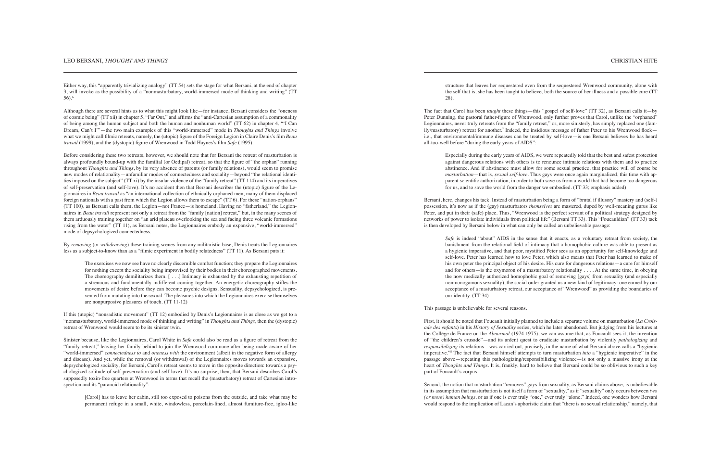## LEO BERSANI, *THOUGHT AND THINGS* CHRISTIAN HITE

Either way, this "apparently trivializing analogy" (TT 54) sets the stage for what Bersani, at the end of chapter 3, will invoke as the possibility of a "nonmasturbatory, world-immersed mode of thinking and writing" (TT 56).6

Although there are several hints as to what this might look like—for instance, Bersani considers the "oneness of cosmic being" (TT xii) in chapter 5, "Far Out," and affirms the "anti-Cartesian assumption of a commonality of being among the human subject and both the human and nonhuman world" (TT 62) in chapter 4, "'I Can Dream, Can't I'"—the two main examples of this "world-immersed" mode in *Thoughts and Things* involve what we might call filmic retreats, namely, the (utopic) figure of the Foreign Legion in Claire Denis's film *Beau travail* (1999), and the (dystopic) figure of Wrenwood in Todd Haynes's film *Safe* (1995).

Before considering these two retreats, however, we should note that for Bersani the retreat of masturbation is always profoundly bound-up with the familial (or Oedipal) retreat, so that the figure of "the orphan" running throughout *Thoughts and Things*, by its very absence of parents (or family relations), would seem to promise new modes of relationality—unfamiliar modes of connectedness and sociality—beyond "the relational identities imposed on the subject" (TT xi) by the insular violence of the "family retreat" (TT 114) and its imperatives of self-preservation (and self-love). It's no accident then that Bersani describes the (utopic) figure of the Legionnaires in *Beau travail* as "an international collection of ethnically orphaned men, many of them displaced foreign nationals with a past from which the Legion allows them to escape" (TT 6). For these "nation-orphans" (TT 100), as Bersani calls them, the Legion—not France—is homeland. Having no "fatherland," the Legionnaires in *Beau travail* represent not only a retreat from the "family [nation] retreat," but, in the many scenes of them arduously training together on "an arid plateau overlooking the sea and facing three volcanic formations rising from the water" (TT 11), as Bersani notes, the Legionnaires embody an expansive, "world-immersed" mode of depsychologized connectedness.

By *removing* (or *withdrawing*) these training scenes from any militaristic base, Denis treats the Legionnaires less as a subject-to-know than as a "filmic experiment in bodily relatedness" (TT 11). As Bersani puts it:

The exercises we now see have no clearly discernible combat function; they prepare the Legionnaires for nothing except the sociality being improvised by their bodies in their choreographed movements. The choreography demilitarizes them.  $[\ldots]$  Intimacy is exhausted by the exhausting repetition of a strenuous and fundamentally indifferent coming together. An energetic choreography stifles the movements of desire before they can become psychic designs. Sensuality, depsychologized, is prevented from mutating into the sexual. The pleasures into which the Legionnaires exercise themselves are nonpurposive pleasures of touch. (TT 11-12)

If this (utopic) "nonsadistic movement" (TT 12) embodied by Denis's Legionnaires is as close as we get to a "nonmasturbatory, world-immersed mode of thinking and writing" in *Thoughts and Things*, then the (dystopic) retreat of Wrenwood would seem to be its sinister twin.

*Safe* is indeed "about" AIDS in the sense that it enacts, as a voluntary retreat from society, the banishment from the relational field of intimacy that a homophobic culture was able to present as a hygienic imperative, and that poor, mystified Peter sees as an opportunity for self-knowledge and self-love. Peter has learned how to love Peter, which also means that Peter has learned to make of his own peter the principal object of his desire. His cure for dangerous relations—a cure for himself and for others—is the oxymoron of a masturbatory relationality . . . . At the same time, in obeying the now medically authorized homophobic goal of removing [gays] from sexuality (and especially nonmonogamous sexuality), the social order granted us a new kind of legitimacy: one earned by our acceptance of a masturbatory retreat, our acceptance of "Wrenwood" as providing the boundaries of our identity. (TT 34)

Sinister because, like the Legionnaires, Carol White in *Safe* could also be read as a figure of retreat from the "family retreat," leaving her family behind to join the Wrenwood commune after being made aware of her "world-immersed" *connectedness to* and *oneness with* the environment (albeit in the negative form of allergy and disease). And yet, while the removal (or withdrawal) of the Legionnaires moves towards an expansive, depsychologized sociality, for Bersani, Carol's retreat seems to move in the opposite direction: towards a psychologized solitude of self-preservation (and self-love). It's no surprise, then, that Bersani describes Carol's supposedly toxin-free quarters at Wrenwood in terms that recall the (masturbatory) retreat of Cartesian introspection and its "paranoid relationality":

[Carol] has to leave her cabin, still too exposed to poisons from the outside, and take what may be permanent refuge in a small, white, windowless, porcelain-lined, almost furniture-free, igloo-like structure that leaves her sequestered even from the sequestered Wrenwood community, alone with the self that is, she has been taught to believe, both the source of her illness and a possible cure (TT 28).

The fact that Carol has been *taught* these things—this "gospel of self-love" (TT 32), as Bersani calls it—by Peter Dunning, the pastoral father-figure of Wrenwood, only further proves that Carol, unlike the "orphaned" Legionnaires, never truly retreats from the "family retreat," or, more sinisterly, has simply replaced one (family/masturbatory) retreat for another.<sup>7</sup> Indeed, the insidious message of father Peter to his Wrenwood flock i.e., that environmental/immune diseases can be treated by self-love—is one Bersani believes he has heard all-too-well before "during the early years of AIDS":

Especially during the early years of AIDS, we were repeatedly told that the best and safest protection against dangerous relations with others is to renounce intimate relations with them and to practice abstinence. And if abstinence must allow for some sexual practice, that practice will of course be *masturbation*—that is, *sexual self-love*. Thus gays were once again marginalized, this time with apparent scientific authorization, in order to both save us from a world that had become too dangerous for us, and to save the world from the danger we embodied. (TT 33; emphasis added)

Bersani, here, changes his tack. Instead of masturbation being a form of "brutal if illusory" mastery and (self-) possession, it's now as if the (gay) masturbators *themselves* are mastered, duped by well-meaning gurus like Peter, and put in their (safe) place. Thus, "Wrenwood is the perfect servant of a political strategy designed by networks of power to isolate individuals from political life" (Bersani TT 33). This "Foucauldian" (TT 33) tack is then developed by Bersani below in what can only be called an unbelievable passage:

This passage is unbelievable for several reasons.

First, it should be noted that Foucault initially planned to include a separate volume on masturbation (*La Croisade des enfants*) in his *History of Sexuality* series, which he later abandoned. But judging from his lectures at the Collège de France on the *Abnormal* (1974-1975), we can assume that, as Foucault sees it, the invention of "the children's crusade"—and its ardent quest to eradicate masturbation by violently *pathologizing* and *responsibilizing* its relations—was carried out, precisely, in the name of what Bersani above calls a "hygienic imperative."8 The fact that Bersani himself attempts to turn masturbation *into* a "hygienic imperative" in the passage above—repeating this pathologizing/responsibilizing violence—is not only a massive irony at the heart of *Thoughts and Things*. It is, frankly, hard to believe that Bersani could be so oblivious to such a key part of Foucault's corpus.

Second, the notion that masturbation "removes" gays from sexuality, as Bersani claims above, is unbelievable in its assumption that masturbation is not itself a form of "sexuality," as if "sexuality" only occurs between *two (or more) human beings*, or as if one is ever truly "one," ever truly "alone." Indeed, one wonders how Bersani would respond to the implication of Lacan's aphoristic claim that "there is no sexual relationship," namely, that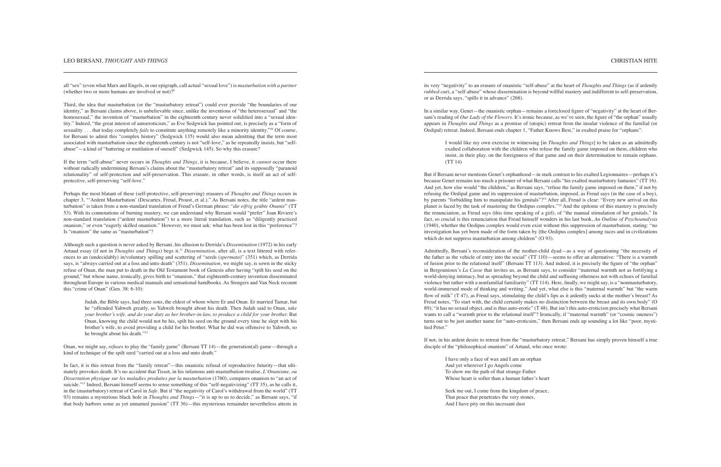all "sex" (even what Marx and Engels, in our epigraph, call actual "sexual love") is *masturbation with a partner* (whether two or more humans are involved or not)?<sup>9</sup>

Third, the idea that masturbation (or the "masturbatory retreat") could ever provide "the boundaries of our identity," as Bersani claims above, is unbelievable since, unlike the inventions of "the heterosexual" and "the homosexual," the invention of "masturbation" in the eighteenth century never solidified into a "sexual identity." Indeed, "the great interest of autoeroticism," as Eve Sedgwick has pointed out, is precisely as a "form of sexuality . . . that today completely *fails* to constitute anything remotely like a minority identity."<sup>10</sup> Of course, for Bersani to admit this "complex history" (Sedgwick 135) would also mean admitting that the term most associated with masturbation since the eighteenth century is not "self-love," as he repeatedly insists, but "selfabuse"—a kind of "battering or mutilation of oneself" (Sedgwick 145). So why this erasure?

If the term "self-abuse" never occurs in *Thoughts and Things*, it is because, I believe, it *cannot* occur there without radically undermining Bersani's claims about the "masturbatory retreat" and its supposedly "paranoid relationality" of self-protection and self-preservation. This erasure, in other words, is itself an act of selfprotective, self-preserving "self-love."

Perhaps the most blatant of these (self-protective, self-preserving) erasures of *Thoughts and Things* occurs in chapter 3, "'Ardent Masturbation' (Descartes, Freud, Proust, et al.)." As Bersani notes, the title "ardent masturbation" is taken from a non-standard translation of Freud's German phrase: "*die eifrig geübte Onanie*" (TT 53). With its connotations of burning mastery, we can understand why Bersani would "prefer" Joan Riviere's non-standard translation ("ardent masturbation") to a more literal translation, such as "diligently practiced onanism," or even "eagerly skilled onanism." However, we must ask: what has been lost in this "preference"? Is "onanism" the same as "masturbation"?

In fact, it is this retreat from the "family retreat"—this onanistic refusal of reproductive futurity—that ultimately provokes death. It's no accident that Tissot, in his infamous anti-masturbation treatise, *L'Onanisme, ou Dissertation physique sur les maladies produites par la masturbation* (1760), compares onanism to "an act of suicide."13 Indeed, Bersani himself seems to sense something of this "self-negativizing" (TT 35), as he calls it, in the (masturbatory) retreat of Carol in *Safe*. But if "the negativity of Carol's withdrawal from the world" (TT 93) remains a mysterious black hole in *Thoughts and Things*—"it is up to us to decide," as Bersani says, "if that body harbors some as yet unnamed passion" (TT 36)—this mysterious remainder nevertheless attests in

Although such a question is never asked by Bersani, his allusion to Derrida's *Dissemination* (1972) in his early Artaud essay (if not in *Thoughts and Things*) begs it.11 *Dissemination*, after all, is a text littered with references to an (undecidably) in/voluntary spilling and scattering of "seeds (*spermata*)" (351) which, as Derrida says, is "always carried out at a loss and unto death" (351). *Dissemination*, we might say, is sown in the sticky refuse of Onan, the man put to death in the Old Testament book of Genesis after having "spilt his seed on the ground," but whose name, ironically, gives birth to "onanism," that eighteenth-century invention disseminated throughout Europe in various medical manuals and sensational handbooks. As Stengers and Van Neck recount this "crime of Onan" (Gen. 38: 6-10):

But if Bersani never mentions Genet's orphanhood—in stark contrast to his exalted Legionnaires—perhaps it's because Genet remains too much a prisoner of what Bersani calls "his exalted masturbatory fantasies" (TT 16). And yet, how else would "the children," as Bersani says, "refuse the family game imposed on them," if not by refusing the Oedipal game and its suppression of masturbation, imposed, as Freud says (in the case of a boy), by parents "forbidding him to manipulate his genitals"?14 After all, Freud is clear: "Every new arrival on this planet is faced by the task of mastering the Oedipus complex."15 And the epitome of this mastery is precisely the renunciation, as Freud says (this time speaking of a girl), of "the manual stimulation of her genitals." In fact, so crucial is this renunciation that Freud himself wonders in his last book, *An Outline of Psychoanalysis*  (1940), whether the Oedipus complex would even exist without this suppression of masturbation, stating: "no investigation has yet been made of the form taken by [the Oedipus complex] among races and in civilizations which do not suppress masturbation among children" (O 93).

Judah, the Bible says, had three sons, the eldest of whom where Er and Onan. Er married Tamar, but he "offended Yahweh greatly, so Yahweh brought about his death. Then Judah said to Onan, *take your brother's wife, and do your duty as her brother-in-law, to produce a child for your brother.* But Onan, knowing the child would not be his, spilt his seed on the ground every time he slept with his brother's wife, to avoid providing a child for his brother. What he did was offensive to Yahweh, so he brought about his death."12

Onan, we might say, *refuses* to play the "family game" (Bersani TT 14)—the generation(al) game—through a kind of technique of the spilt seed "carried out at a loss and unto death."

its very "negativity" to an erasure of onanistic "self-abuse" at the heart of *Thoughts and Things* (as if ardently *rubbed-out*), a "self-abuse" whose dissemination is beyond willful mastery and indifferent to self-preservation, or as Derrida says, "spills it in advance" (268).

In a similar way, Genet—the onanistic orphan—remains a foreclosed figure of "negativity" at the heart of Bersani's reading of *Our Lady of the Flowers.* It's ironic because, as we've seen, the figure of "the orphan" usually appears in *Thoughts and Things* as a promise of (utopic) retreat from the insular violence of the familial (or Oedipal) retreat. Indeed, Bersani ends chapter 1, "Father Knows Best," in exalted praise for "orphans":

I would like my own exercise in witnessing [in *Thoughts and Things*] to be taken as an admittedly exalted collaboration with the children who refuse the family game imposed on them, children who insist, in their play, on the foreignness of that game and on their determination to remain orphans. (TT 14)

Admittedly, Bersani's reconsideration of the mother-child dyad—as a way of questioning "the necessity of the father as the vehicle of entry into the social" (TT 110)—seems to offer an alternative: "There is a warmth of fusion prior to the relational itself" (Bersani TT 113). And indeed, it is precisely the figure of "the orphan" in Bergounioux's *La Casse* that invites us, as Bersani says, to consider "maternal warmth not as fortifying a world-denying intimacy, but as spreading beyond the child and suffusing otherness not with echoes of familial violence but rather with a nonfamilial familiarity" (TT 114). Here, finally, we might say, is a "nonmasturbatory, world-immersed mode of thinking and writing." And yet, what else is this "maternal warmth" but "the warm flow of milk" (T 47), as Freud says, stimulating the child's lips as it ardently sucks at the mother's breast? As Freud notes, "To start with, the child certainly makes no distinction between the breast and its own body" (O 89); "it has no sexual object, and is thus auto-erotic" (T 48). But isn't this auto-eroticism precisely what Bersani wants to call a "warmth prior to the relational itself"? Ironically, if "maternal warmth" (or "cosmic oneness") turns out to be just another name for "auto-eroticsim," then Bersani ends up sounding a lot like "poor, mystified Peter."

If not, in his ardent desire to retreat from the "masturbatory retreat," Bersani has simply proven himself a true disciple of the "philosophical onanism" of Artaud, who once wrote:

I have only a face of wax and I am an orphan And yet wherever I go Angels come To show me the path of that strange Father Whose heart is softer than a human father's heart

Seek me out, I come from the kingdom of peace, That peace that penetrates the very stones, And I have pity on this incessant dust